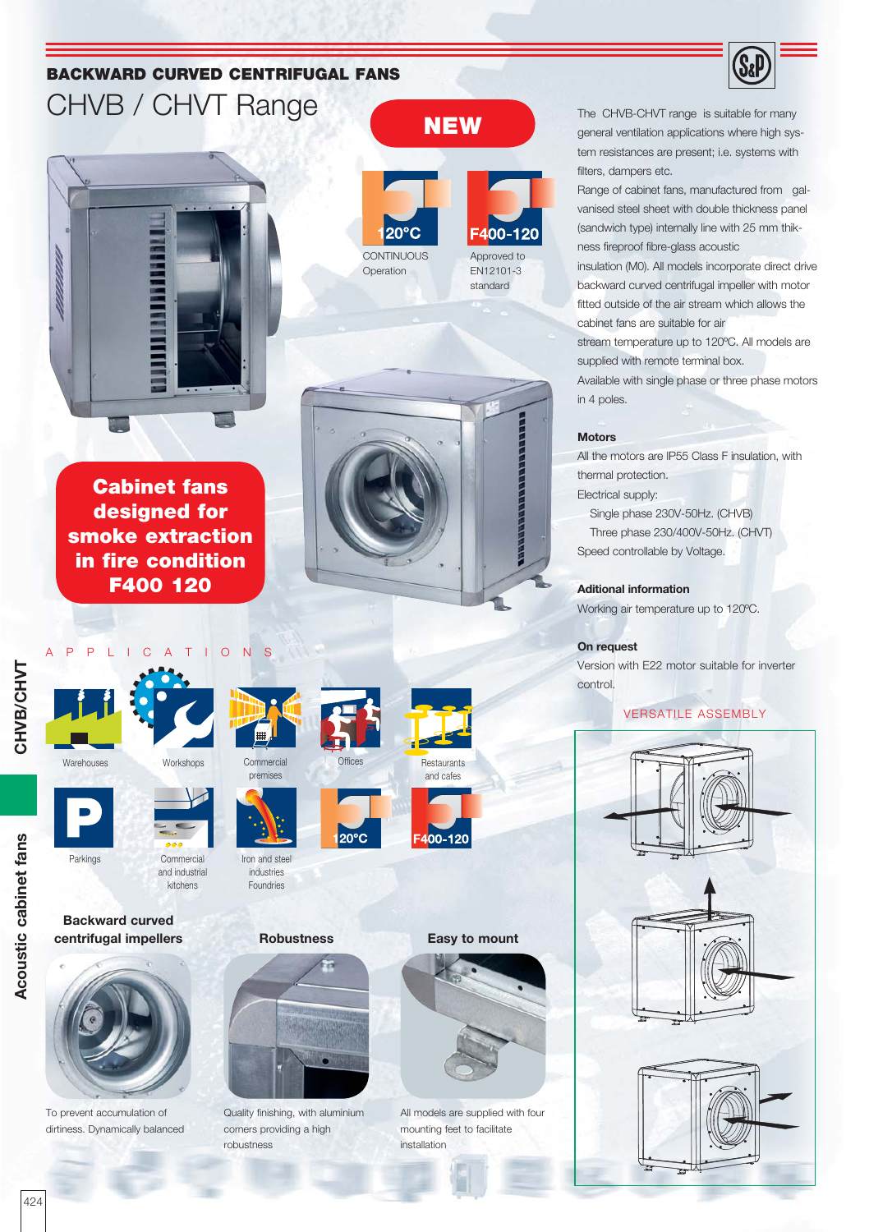# **BACKWARD CURVED CENTRIFUGAL FANS** CHVB / CHVT Range



**Cabinet fans designed for smoke extraction in fire condition F400 120**





**Backward curved centrifugal impellers**

To prevent accumulation of dirtiness. Dynamically balanced





and industrial kitchens

Iron and steel industries Foundries

premises

**Robustness**



Quality finishing, with aluminium corners providing a high robustness









 $20^{\circ}$ C



### **Easy to mount**



All models are supplied with four mounting feet to facilitate installation

The CHVB-CHVT range is suitable for many general ventilation applications where high system resistances are present; i.e. systems with filters, dampers etc.

Range of cabinet fans, manufactured from galvanised steel sheet with double thickness panel (sandwich type) internally line with 25 mm thikness fireproof fibre-glass acoustic insulation (M0). All models incorporate direct drive backward curved centrifugal impeller with motor fitted outside of the air stream which allows the cabinet fans are suitable for air

stream temperature up to 120ºC. All models are supplied with remote terminal box. Available with single phase or three phase motors in 4 poles.

#### **Motors**

All the motors are IP55 Class F insulation, with thermal protection. Electrical supply:

 Single phase 230V-50Hz. (CHVB) Three phase 230/400V-50Hz. (CHVT) Speed controllable by Voltage.

#### **Aditional information**

Working air temperature up to 120ºC.

#### **On request**

Version with E22 motor suitable for inverter control.

### VERSATILE ASSEMBLY





CHVB/CHVT **CHVB/CHVT**

Acoustic cabinet fans **Acoustic cabinet fans**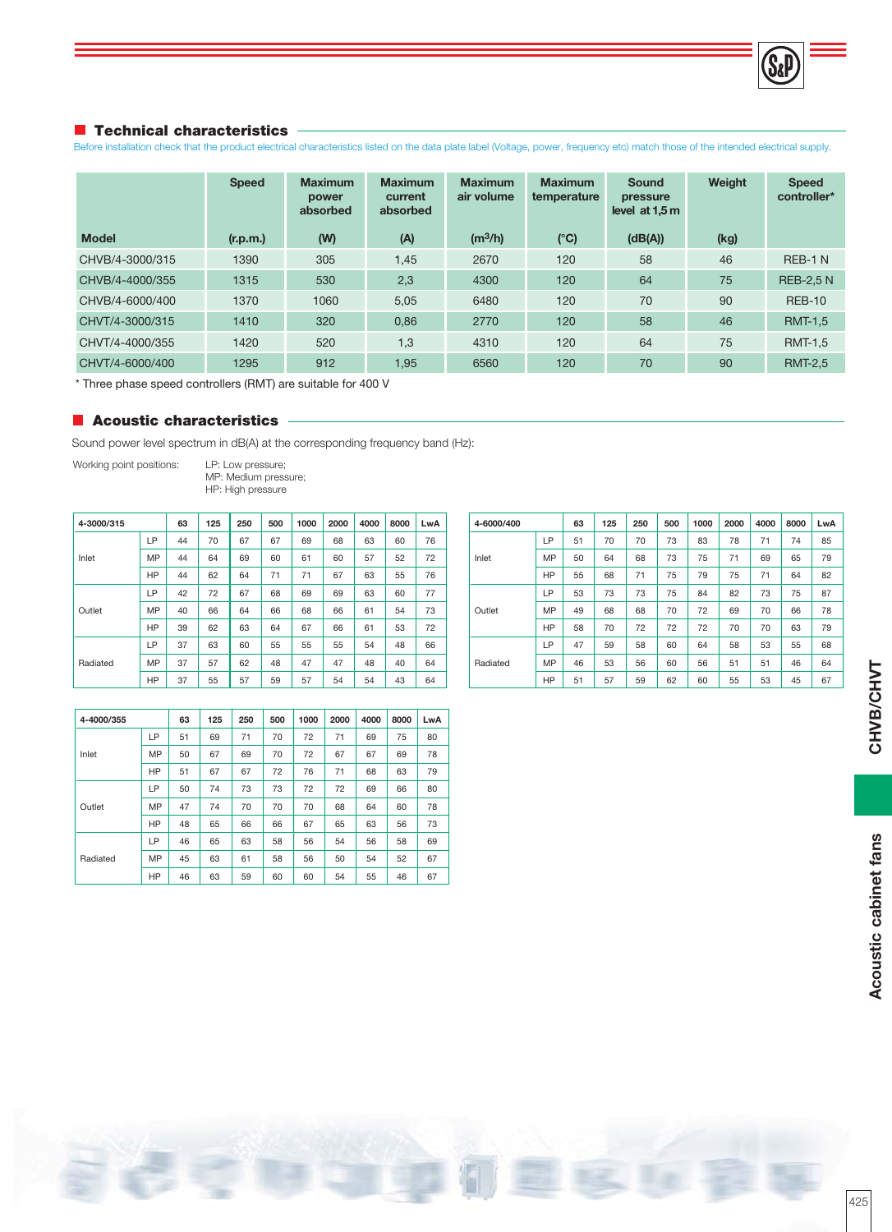

#### **Technical characteristics**

Before installation check that the product electrical characteristics listed on the data plate label (Voltage, power, frequency etc) match those of the intended electrical supply.

|                 | <b>Speed</b> | <b>Maximum</b><br>power<br>absorbed | <b>Maximum</b><br>current<br>absorbed | <b>Maximum</b><br>air volume | <b>Maximum</b><br>temperature | <b>Sound</b><br>pressure<br>level at $1.5m$ | Weight | <b>Speed</b><br>controller* |
|-----------------|--------------|-------------------------------------|---------------------------------------|------------------------------|-------------------------------|---------------------------------------------|--------|-----------------------------|
| <b>Model</b>    | (r.p.m.)     | (W)                                 | (A)                                   | (m <sup>3</sup> /h)          | (C)                           | (dB(A))                                     | (kg)   |                             |
| CHVB/4-3000/315 | 1390         | 305                                 | 1,45                                  | 2670                         | 120                           | 58                                          | 46     | REB-1 N                     |
| CHVB/4-4000/355 | 1315         | 530                                 | 2,3                                   | 4300                         | 120                           | 64                                          | 75     | <b>REB-2.5 N</b>            |
| CHVB/4-6000/400 | 1370         | 1060                                | 5,05                                  | 6480                         | 120                           | 70                                          | 90     | <b>REB-10</b>               |
| CHVT/4-3000/315 | 1410         | 320                                 | 0,86                                  | 2770                         | 120                           | 58                                          | 46     | <b>RMT-1,5</b>              |
| CHVT/4-4000/355 | 1420         | 520                                 | 1,3                                   | 4310                         | 120                           | 64                                          | 75     | <b>RMT-1,5</b>              |
| CHVT/4-6000/400 | 1295         | 912                                 | 1,95                                  | 6560                         | 120                           | 70                                          | 90     | <b>RMT-2.5</b>              |

\* Three phase speed controllers (RMT) are suitable for 400 V

#### **Acoustic characteristics**

Sound power level spectrum in dB(A) at the corresponding frequency band (Hz):

Working point positions: LP: Low pressure;

 MP: Medium pressure; HP: High pressure

| 4-3000/315 |    | 63 | 125 | 250 | 500 | 1000 | 2000 | 4000 | 8000 | LwA |
|------------|----|----|-----|-----|-----|------|------|------|------|-----|
|            | LР | 44 | 70  | 67  | 67  | 69   | 68   | 63   | 60   | 76  |
| Inlet      | MP | 44 | 64  | 69  | 60  | 61   | 60   | 57   | 52   | 72  |
|            | HP | 44 | 62  | 64  | 71  | 71   | 67   | 63   | 55   | 76  |
|            | LP | 42 | 72  | 67  | 68  | 69   | 69   | 63   | 60   | 77  |
| Outlet     | MP | 40 | 66  | 64  | 66  | 68   | 66   | 61   | 54   | 73  |
|            | HP | 39 | 62  | 63  | 64  | 67   | 66   | 61   | 53   | 72  |
|            | LP | 37 | 63  | 60  | 55  | 55   | 55   | 54   | 48   | 66  |
| Radiated   | MP | 37 | 57  | 62  | 48  | 47   | 47   | 48   | 40   | 64  |
|            | HP | 37 | 55  | 57  | 59  | 57   | 54   | 54   | 43   | 64  |

| 4-6000/400 |    | 63 | 125 | 250 | 500 | 1000 | 2000 | 4000 | 8000 | LwA |
|------------|----|----|-----|-----|-----|------|------|------|------|-----|
|            | LP | 51 | 70  | 70  | 73  | 83   | 78   | 71   | 74   | 85  |
| Inlet      | MP | 50 | 64  | 68  | 73  | 75   | 71   | 69   | 65   | 79  |
|            | HP | 55 | 68  | 71  | 75  | 79   | 75   | 71   | 64   | 82  |
|            | LP | 53 | 73  | 73  | 75  | 84   | 82   | 73   | 75   | 87  |
| Outlet     | MP | 49 | 68  | 68  | 70  | 72   | 69   | 70   | 66   | 78  |
|            | HP | 58 | 70  | 72  | 72  | 72   | 70   | 70   | 63   | 79  |
|            | LP | 47 | 59  | 58  | 60  | 64   | 58   | 53   | 55   | 68  |
| Radiated   | MP | 46 | 53  | 56  | 60  | 56   | 51   | 51   | 46   | 64  |
|            | HP | 51 | 57  | 59  | 62  | 60   | 55   | 53   | 45   | 67  |

| 4-4000/355 |    | 63 | 125 | 250 | 500 | 1000 | 2000 | 4000 | 8000 | LwA |
|------------|----|----|-----|-----|-----|------|------|------|------|-----|
|            | LP | 51 | 69  | 71  | 70  | 72   | 71   | 69   | 75   | 80  |
| Inlet      | MP | 50 | 67  | 69  | 70  | 72   | 67   | 67   | 69   | 78  |
|            | HP | 51 | 67  | 67  | 72  | 76   | 71   | 68   | 63   | 79  |
|            | LP | 50 | 74  | 73  | 73  | 72   | 72   | 69   | 66   | 80  |
| Outlet     | MP | 47 | 74  | 70  | 70  | 70   | 68   | 64   | 60   | 78  |
|            | HP | 48 | 65  | 66  | 66  | 67   | 65   | 63   | 56   | 73  |
|            | LP | 46 | 65  | 63  | 58  | 56   | 54   | 56   | 58   | 69  |
| Radiated   | MP | 45 | 63  | 61  | 58  | 56   | 50   | 54   | 52   | 67  |
|            | HP | 46 | 63  | 59  | 60  | 60   | 54   | 55   | 46   | 67  |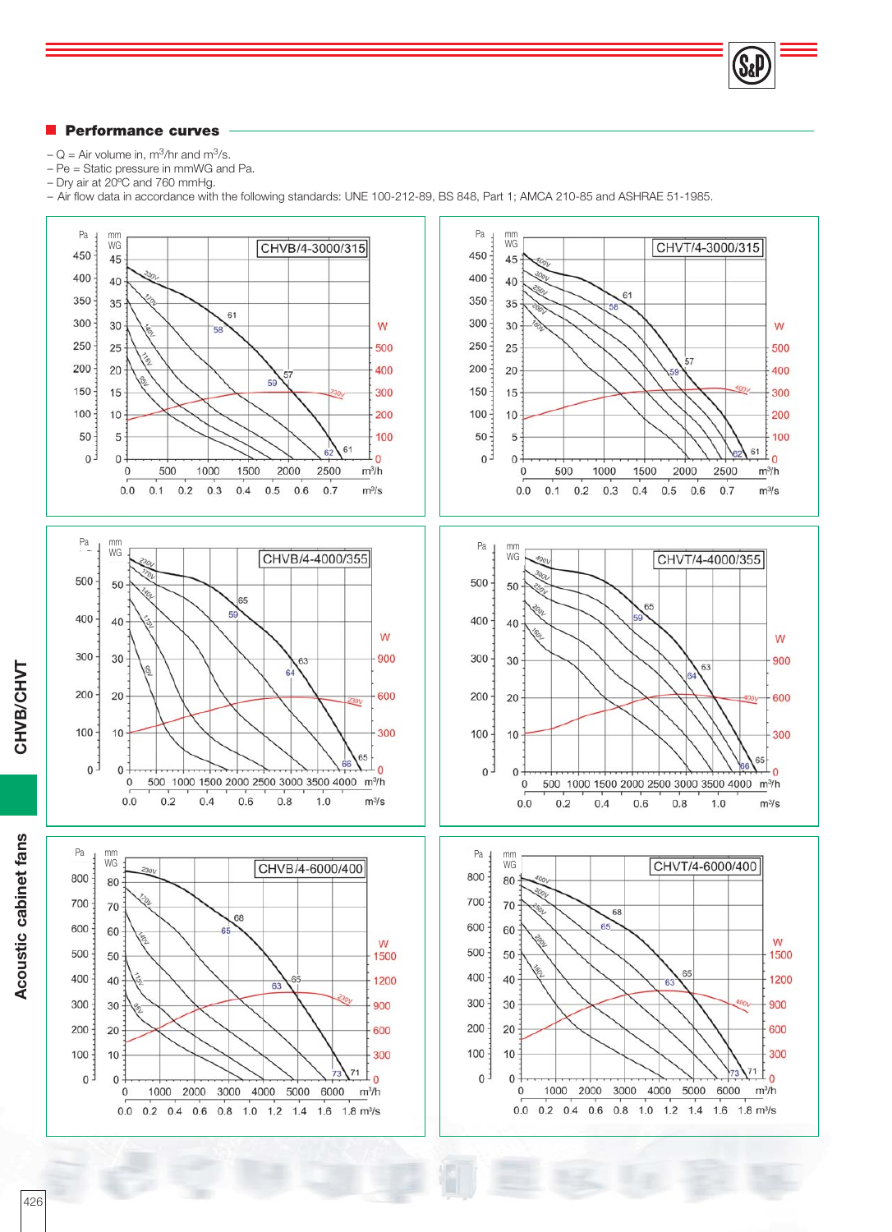#### **Performance curves**

- $-Q =$  Air volume in, m<sup>3</sup>/hr and m<sup>3</sup>/s.
- Pe = Static pressure in mmWG and Pa.
- Dry air at 20ºC and 760 mmHg.
- Air flow data in accordance with the following standards: UNE 100-212-89, BS 848, Part 1; AMCA 210-85 and ASHRAE 51-1985.

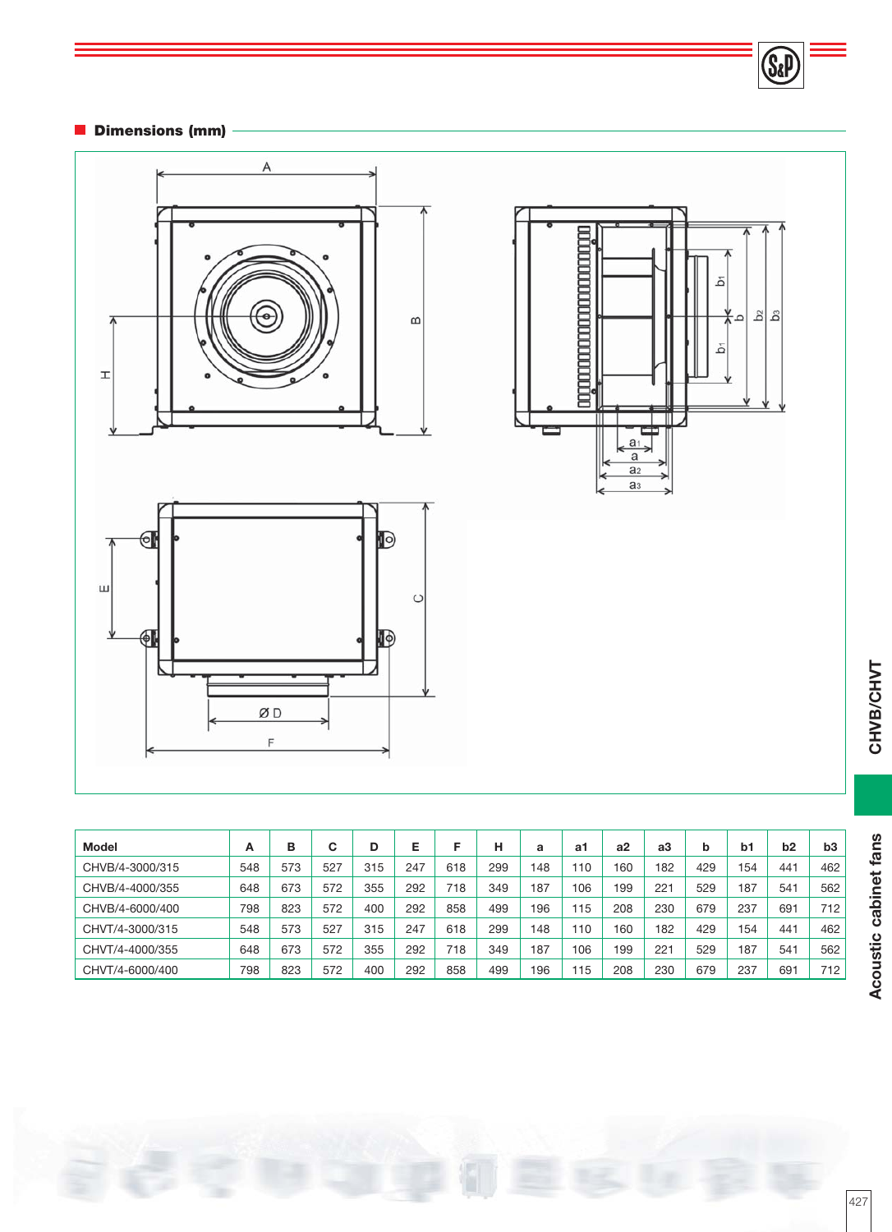## **Dimensions (mm)**



| <b>Albumania Maria Maria Albumania</b> | ă                         |
|----------------------------------------|---------------------------|
| þ                                      | $\frac{5}{2}$<br>6⊿<br>هَ |
|                                        |                           |
| $\overline{a_1}$                       |                           |
| $\overline{a}$<br>$rac{a_2}{a_3}$      |                           |

(Sa

| <b>Model</b>    | A   | в   | С   | D   | Е   |     | н   | a   | a1  | a2  | аЗ  | b   | b1  | b <sub>2</sub> | b3  |
|-----------------|-----|-----|-----|-----|-----|-----|-----|-----|-----|-----|-----|-----|-----|----------------|-----|
| CHVB/4-3000/315 | 548 | 573 | 527 | 315 | 247 | 618 | 299 | 148 | 110 | 160 | 182 | 429 | 154 | 441            | 462 |
| CHVB/4-4000/355 | 648 | 673 | 572 | 355 | 292 | 718 | 349 | 187 | 106 | 199 | 221 | 529 | 187 | 541            | 562 |
| CHVB/4-6000/400 | 798 | 823 | 572 | 400 | 292 | 858 | 499 | 196 | 15  | 208 | 230 | 679 | 237 | 691            | 712 |
| CHVT/4-3000/315 | 548 | 573 | 527 | 315 | 247 | 618 | 299 | 148 | 10  | 160 | 182 | 429 | 154 | 441            | 462 |
| CHVT/4-4000/355 | 648 | 673 | 572 | 355 | 292 | 718 | 349 | 187 | 106 | 199 | 221 | 529 | 187 | 541            | 562 |
| CHVT/4-6000/400 | 798 | 823 | 572 | 400 | 292 | 858 | 499 | 196 | 15  | 208 | 230 | 679 | 237 | 69             | 712 |

CHVB/CHVT **CHVB/CHVT**